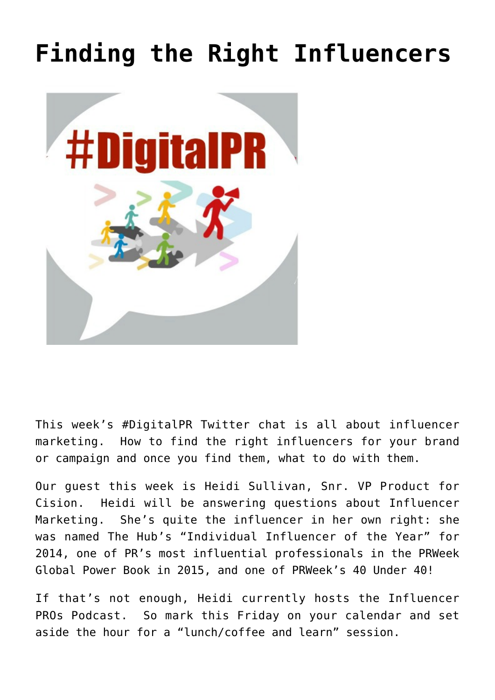## **[Finding the Right Influencers](https://www.commpro.biz/finding-the-right-influencers/)**



This week's #DigitalPR Twitter chat is all about influencer marketing. How to find the right influencers for your brand or campaign and once you find them, what to do with them.

Our guest this week is Heidi Sullivan, Snr. VP Product for Cision. Heidi will be answering questions about Influencer Marketing. She's quite the influencer in her own right: she was named The Hub's "Individual Influencer of the Year" for 2014, one of PR's most influential professionals in the PRWeek Global Power Book in 2015, and one of PRWeek's 40 Under 40!

If that's not enough, Heidi currently hosts the Influencer PROs Podcast. So mark this Friday on your calendar and set aside the hour for a "lunch/coffee and learn" session.